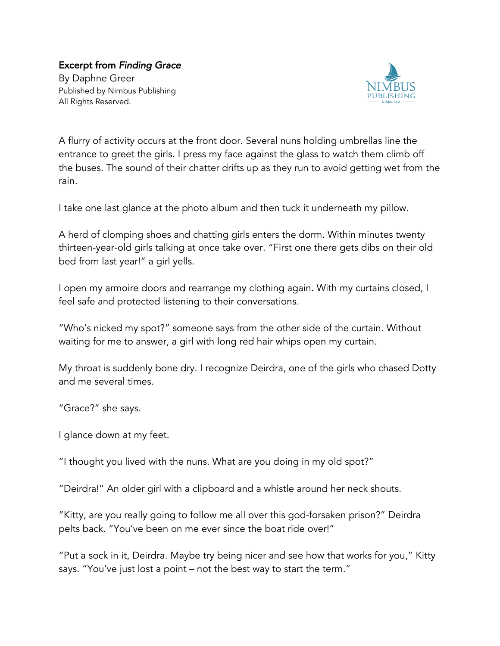## Excerpt from *Finding Grace*

By Daphne Greer Published by Nimbus Publishing All Rights Reserved.



A flurry of activity occurs at the front door. Several nuns holding umbrellas line the entrance to greet the girls. I press my face against the glass to watch them climb off the buses. The sound of their chatter drifts up as they run to avoid getting wet from the rain.

I take one last glance at the photo album and then tuck it underneath my pillow.

A herd of clomping shoes and chatting girls enters the dorm. Within minutes twenty thirteen-year-old girls talking at once take over. "First one there gets dibs on their old bed from last year!" a girl yells.

I open my armoire doors and rearrange my clothing again. With my curtains closed, I feel safe and protected listening to their conversations.

"Who's nicked my spot?" someone says from the other side of the curtain. Without waiting for me to answer, a girl with long red hair whips open my curtain.

My throat is suddenly bone dry. I recognize Deirdra, one of the girls who chased Dotty and me several times.

"Grace?" she says.

I glance down at my feet.

"I thought you lived with the nuns. What are you doing in my old spot?"

"Deirdra!" An older girl with a clipboard and a whistle around her neck shouts.

"Kitty, are you really going to follow me all over this god-forsaken prison?" Deirdra pelts back. "You've been on me ever since the boat ride over!"

"Put a sock in it, Deirdra. Maybe try being nicer and see how that works for you," Kitty says. "You've just lost a point – not the best way to start the term."